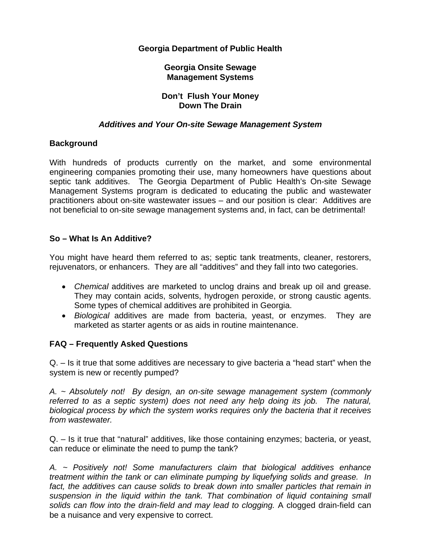## **Georgia Department of Public Health**

### **Georgia Onsite Sewage Management Systems**

#### **Don't Flush Your Money Down The Drain**

## *Additives and Your On-site Sewage Management System*

# **Background**

With hundreds of products currently on the market, and some environmental engineering companies promoting their use, many homeowners have questions about septic tank additives. The Georgia Department of Public Health's On-site Sewage Management Systems program is dedicated to educating the public and wastewater practitioners about on-site wastewater issues – and our position is clear: Additives are not beneficial to on-site sewage management systems and, in fact, can be detrimental!

# **So – What Is An Additive?**

You might have heard them referred to as; septic tank treatments, cleaner, restorers, rejuvenators, or enhancers. They are all "additives" and they fall into two categories.

- *Chemical* additives are marketed to unclog drains and break up oil and grease. They may contain acids, solvents, hydrogen peroxide, or strong caustic agents. Some types of chemical additives are prohibited in Georgia.
- *Biological* additives are made from bacteria, yeast, or enzymes. They are marketed as starter agents or as aids in routine maintenance.

### **FAQ – Frequently Asked Questions**

Q. – Is it true that some additives are necessary to give bacteria a "head start" when the system is new or recently pumped?

*A. ~ Absolutely not! By design, an on-site sewage management system (commonly referred to as a septic system) does not need any help doing its job. The natural, biological process by which the system works requires only the bacteria that it receives from wastewater.* 

Q. – Is it true that "natural" additives, like those containing enzymes; bacteria, or yeast, can reduce or eliminate the need to pump the tank?

*A. ~ Positively not! Some manufacturers claim that biological additives enhance treatment within the tank or can eliminate pumping by liquefying solids and grease. In*  fact, the additives can cause solids to break down into smaller particles that remain in *suspension in the liquid within the tank. That combination of liquid containing small solids can flow into the drain-field and may lead to clogging.* A clogged drain-field can be a nuisance and very expensive to correct.